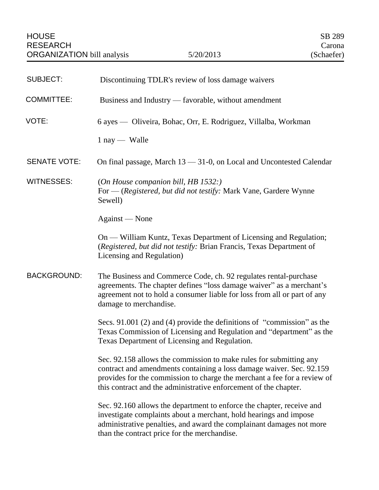| <b>SUBJECT:</b>     | Discontinuing TDLR's review of loss damage waivers                                                                                                                                                                                                                                         |
|---------------------|--------------------------------------------------------------------------------------------------------------------------------------------------------------------------------------------------------------------------------------------------------------------------------------------|
| <b>COMMITTEE:</b>   | Business and Industry — favorable, without amendment                                                                                                                                                                                                                                       |
| VOTE:               | 6 ayes — Oliveira, Bohac, Orr, E. Rodriguez, Villalba, Workman                                                                                                                                                                                                                             |
|                     | $1$ nay — Walle                                                                                                                                                                                                                                                                            |
| <b>SENATE VOTE:</b> | On final passage, March $13 - 31 - 0$ , on Local and Uncontested Calendar                                                                                                                                                                                                                  |
| <b>WITNESSES:</b>   | (On House companion bill, HB 1532:)<br>For — (Registered, but did not testify: Mark Vane, Gardere Wynne<br>Sewell)                                                                                                                                                                         |
|                     | Against — None                                                                                                                                                                                                                                                                             |
|                     | On — William Kuntz, Texas Department of Licensing and Regulation;<br>(Registered, but did not testify: Brian Francis, Texas Department of<br>Licensing and Regulation)                                                                                                                     |
| <b>BACKGROUND:</b>  | The Business and Commerce Code, ch. 92 regulates rental-purchase<br>agreements. The chapter defines "loss damage waiver" as a merchant's<br>agreement not to hold a consumer liable for loss from all or part of any<br>damage to merchandise.                                             |
|                     | Secs. 91.001 (2) and (4) provide the definitions of "commission" as the<br>Texas Commission of Licensing and Regulation and "department" as the<br>Texas Department of Licensing and Regulation.                                                                                           |
|                     | Sec. 92.158 allows the commission to make rules for submitting any<br>contract and amendments containing a loss damage waiver. Sec. 92.159<br>provides for the commission to charge the merchant a fee for a review of<br>this contract and the administrative enforcement of the chapter. |
|                     | Sec. 92.160 allows the department to enforce the chapter, receive and<br>investigate complaints about a merchant, hold hearings and impose<br>administrative penalties, and award the complainant damages not more<br>than the contract price for the merchandise.                         |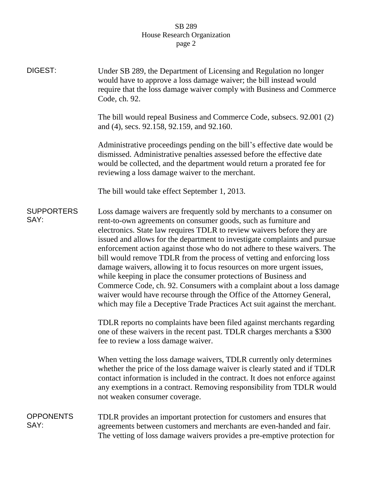## SB 289 House Research Organization page 2

| DIGEST:                   | Under SB 289, the Department of Licensing and Regulation no longer<br>would have to approve a loss damage waiver; the bill instead would<br>require that the loss damage waiver comply with Business and Commerce<br>Code, ch. 92.                                                                                                                                                                                                                                                                                                                                                                                                                                                                                                                                                                                               |
|---------------------------|----------------------------------------------------------------------------------------------------------------------------------------------------------------------------------------------------------------------------------------------------------------------------------------------------------------------------------------------------------------------------------------------------------------------------------------------------------------------------------------------------------------------------------------------------------------------------------------------------------------------------------------------------------------------------------------------------------------------------------------------------------------------------------------------------------------------------------|
|                           | The bill would repeal Business and Commerce Code, subsecs. 92.001 (2)<br>and (4), secs. 92.158, 92.159, and 92.160.                                                                                                                                                                                                                                                                                                                                                                                                                                                                                                                                                                                                                                                                                                              |
|                           | Administrative proceedings pending on the bill's effective date would be<br>dismissed. Administrative penalties assessed before the effective date<br>would be collected, and the department would return a prorated fee for<br>reviewing a loss damage waiver to the merchant.                                                                                                                                                                                                                                                                                                                                                                                                                                                                                                                                                  |
|                           | The bill would take effect September 1, 2013.                                                                                                                                                                                                                                                                                                                                                                                                                                                                                                                                                                                                                                                                                                                                                                                    |
| <b>SUPPORTERS</b><br>SAY: | Loss damage waivers are frequently sold by merchants to a consumer on<br>rent-to-own agreements on consumer goods, such as furniture and<br>electronics. State law requires TDLR to review waivers before they are<br>issued and allows for the department to investigate complaints and pursue<br>enforcement action against those who do not adhere to these waivers. The<br>bill would remove TDLR from the process of vetting and enforcing loss<br>damage waivers, allowing it to focus resources on more urgent issues,<br>while keeping in place the consumer protections of Business and<br>Commerce Code, ch. 92. Consumers with a complaint about a loss damage<br>waiver would have recourse through the Office of the Attorney General,<br>which may file a Deceptive Trade Practices Act suit against the merchant. |
|                           | TDLR reports no complaints have been filed against merchants regarding<br>one of these waivers in the recent past. TDLR charges merchants a \$300<br>fee to review a loss damage waiver.                                                                                                                                                                                                                                                                                                                                                                                                                                                                                                                                                                                                                                         |
|                           | When vetting the loss damage waivers, TDLR currently only determines<br>whether the price of the loss damage waiver is clearly stated and if TDLR<br>contact information is included in the contract. It does not enforce against<br>any exemptions in a contract. Removing responsibility from TDLR would<br>not weaken consumer coverage.                                                                                                                                                                                                                                                                                                                                                                                                                                                                                      |
| <b>OPPONENTS</b><br>SAY:  | TDLR provides an important protection for customers and ensures that<br>agreements between customers and merchants are even-handed and fair.<br>The vetting of loss damage waivers provides a pre-emptive protection for                                                                                                                                                                                                                                                                                                                                                                                                                                                                                                                                                                                                         |